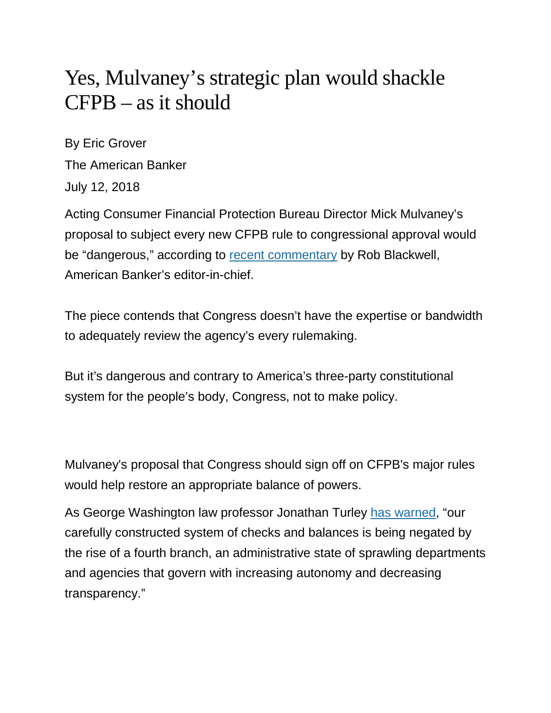## Yes, Mulvaney's strategic plan would shackle CFPB – as it should

By Eric Grover The American Banker July 12, 2018

Acting Consumer Financial Protection Bureau Director Mick Mulvaney's proposal to subject every new CFPB rule to congressional approval would be "dangerous," according to [recent commentary](https://www.americanbanker.com/opinion/mick-mulvaneys-cfpb-plan-is-dangerous) by Rob Blackwell, American Banker's editor-in-chief.

The piece contends that Congress doesn't have the expertise or bandwidth to adequately review the agency's every rulemaking.

But it's dangerous and contrary to America's three-party constitutional system for the people's body, Congress, not to make policy.

Mulvaney's proposal that Congress should sign off on CFPB's major rules would help restore an appropriate balance of powers.

As George Washington law professor Jonathan Turley [has warned,](https://www.washingtonpost.com/opinions/the-rise-of-the-fourth-branch-of-government/2013/05/24/c7faaad0-c2ed-11e2-9fe2-6ee52d0eb7c1_story.html?utm_term=.f84a59b3287d) "our carefully constructed system of checks and balances is being negated by the rise of a fourth branch, an administrative state of sprawling departments and agencies that govern with increasing autonomy and decreasing transparency."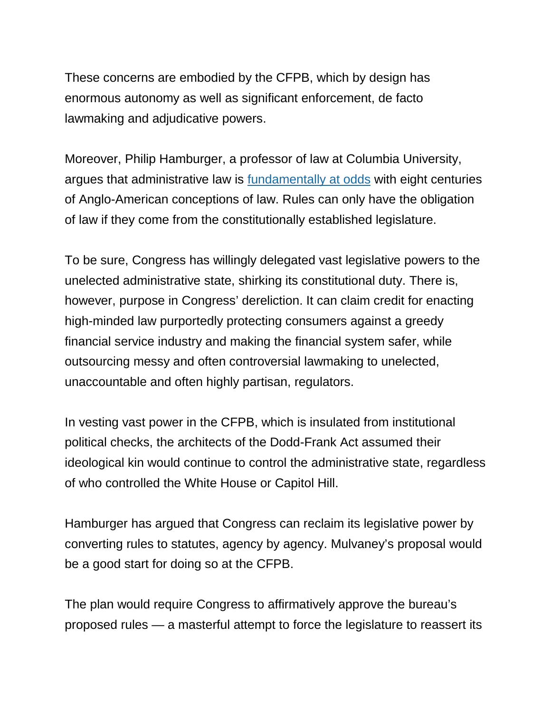These concerns are embodied by the CFPB, which by design has enormous autonomy as well as significant enforcement, de facto lawmaking and adjudicative powers.

Moreover, Philip Hamburger, a professor of law at Columbia University, argues that administrative law is [fundamentally at odds](https://www.amazon.com/Administrative-Law-Unlawful-Philip-Hamburger/dp/022632463X) with eight centuries of Anglo-American conceptions of law. Rules can only have the obligation of law if they come from the constitutionally established legislature.

To be sure, Congress has willingly delegated vast legislative powers to the unelected administrative state, shirking its constitutional duty. There is, however, purpose in Congress' dereliction. It can claim credit for enacting high-minded law purportedly protecting consumers against a greedy financial service industry and making the financial system safer, while outsourcing messy and often controversial lawmaking to unelected, unaccountable and often highly partisan, regulators.

In vesting vast power in the CFPB, which is insulated from institutional political checks, the architects of the Dodd-Frank Act assumed their ideological kin would continue to control the administrative state, regardless of who controlled the White House or Capitol Hill.

Hamburger has argued that Congress can reclaim its legislative power by converting rules to statutes, agency by agency. Mulvaney's proposal would be a good start for doing so at the CFPB.

The plan would require Congress to affirmatively approve the bureau's proposed rules — a masterful attempt to force the legislature to reassert its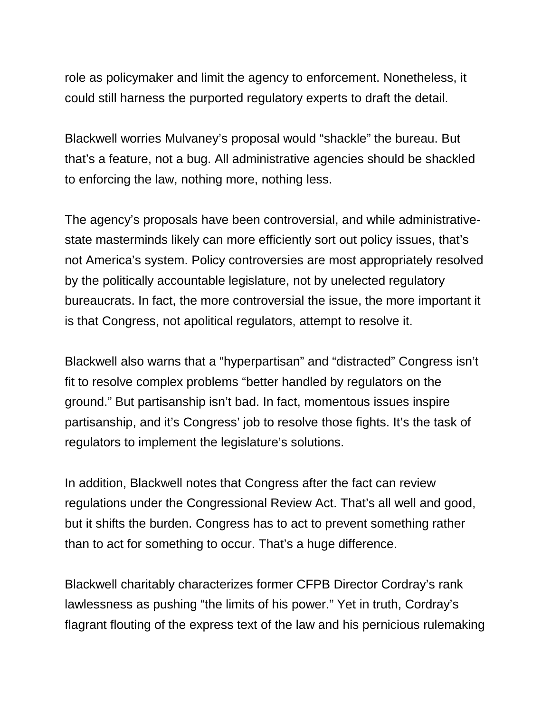role as policymaker and limit the agency to enforcement. Nonetheless, it could still harness the purported regulatory experts to draft the detail.

Blackwell worries Mulvaney's proposal would "shackle" the bureau. But that's a feature, not a bug. All administrative agencies should be shackled to enforcing the law, nothing more, nothing less.

The agency's proposals have been controversial, and while administrativestate masterminds likely can more efficiently sort out policy issues, that's not America's system. Policy controversies are most appropriately resolved by the politically accountable legislature, not by unelected regulatory bureaucrats. In fact, the more controversial the issue, the more important it is that Congress, not apolitical regulators, attempt to resolve it.

Blackwell also warns that a "hyperpartisan" and "distracted" Congress isn't fit to resolve complex problems "better handled by regulators on the ground." But partisanship isn't bad. In fact, momentous issues inspire partisanship, and it's Congress' job to resolve those fights. It's the task of regulators to implement the legislature's solutions.

In addition, Blackwell notes that Congress after the fact can review regulations under the Congressional Review Act. That's all well and good, but it shifts the burden. Congress has to act to prevent something rather than to act for something to occur. That's a huge difference.

Blackwell charitably characterizes former CFPB Director Cordray's rank lawlessness as pushing "the limits of his power." Yet in truth, Cordray's flagrant flouting of the express text of the law and his pernicious rulemaking